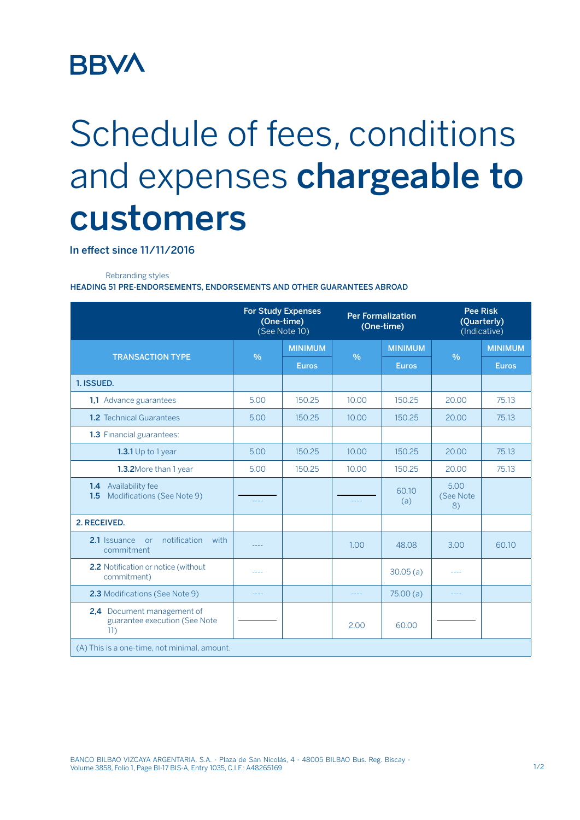## **BBVA**

## Schedule of fees, conditions and expenses chargeable to customers

In effect since 11/11/2016

Rebranding styles

HEADING 51 PRE-ENDORSEMENTS, ENDORSEMENTS AND OTHER GUARANTEES ABROAD

|                                                                    | <b>For Study Expenses</b><br>(One-time)<br>(See Note 10) |                | <b>Per Formalization</b><br>(One-time) |                | <b>Pee Risk</b><br>(Quarterly)<br>(Indicative) |                |
|--------------------------------------------------------------------|----------------------------------------------------------|----------------|----------------------------------------|----------------|------------------------------------------------|----------------|
| <b>TRANSACTION TYPE</b>                                            | $\frac{9}{6}$                                            | <b>MINIMUM</b> | $\frac{0}{6}$                          | <b>MINIMUM</b> | $\frac{0}{0}$                                  | <b>MINIMUM</b> |
|                                                                    |                                                          | <b>Euros</b>   |                                        | <b>Euros</b>   |                                                | <b>Euros</b>   |
| 1. ISSUED.                                                         |                                                          |                |                                        |                |                                                |                |
| 1,1 Advance guarantees                                             | 5.00                                                     | 150.25         | 10.00                                  | 150.25         | 20.00                                          | 75.13          |
| <b>1.2</b> Technical Guarantees                                    | 5.00                                                     | 150.25         | 10.00                                  | 150.25         | 20.00                                          | 75.13          |
| 1.3 Financial guarantees:                                          |                                                          |                |                                        |                |                                                |                |
| <b>1.3.1</b> Up to 1 year                                          | 5.00                                                     | 150.25         | 10.00                                  | 150.25         | 20.00                                          | 75.13          |
| 1.3.2More than 1 year                                              | 5.00                                                     | 150.25         | 10.00                                  | 150.25         | 20.00                                          | 75.13          |
| <b>1.4</b> Availability fee<br>Modifications (See Note 9)<br>1.5   | ----                                                     |                | $- - - -$                              | 60.10<br>(a)   | 5.00<br>(See Note<br>8)                        |                |
| 2. RECEIVED.                                                       |                                                          |                |                                        |                |                                                |                |
| notification<br>2.1 Issuance<br>with<br><b>or</b><br>commitment    | ----                                                     |                | 1.00                                   | 48.08          | 3.00                                           | 60.10          |
| 2.2 Notification or notice (without<br>commitment)                 | ----                                                     |                |                                        | 30.05(a)       | ----                                           |                |
| 2.3 Modifications (See Note 9)                                     | $- - - -$                                                |                | $- - -$                                | 75.00(a)       | $- - - -$                                      |                |
| 2,4 Document management of<br>guarantee execution (See Note<br>11) |                                                          |                | 2.00                                   | 60.00          |                                                |                |
| (A) This is a one-time, not minimal, amount.                       |                                                          |                |                                        |                |                                                |                |